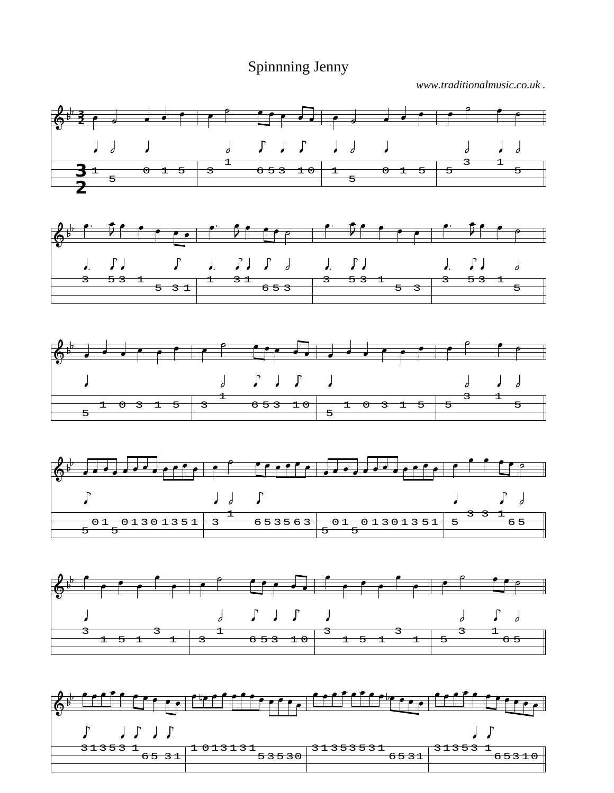Spinnning Jenny

*www.traditionalmusic.co.uk .*